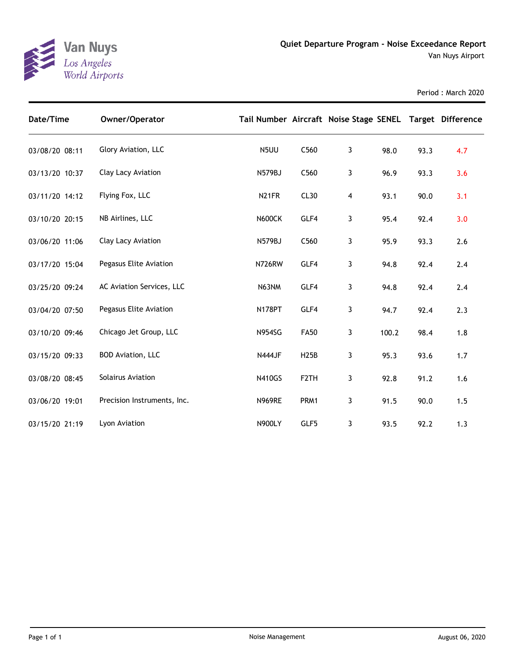

| Date/Time      | Owner/Operator              | Tail Number Aircraft Noise Stage SENEL Target Difference |                   |              |       |      |     |
|----------------|-----------------------------|----------------------------------------------------------|-------------------|--------------|-------|------|-----|
| 03/08/20 08:11 | Glory Aviation, LLC         | N5UU                                                     | C560              | 3            | 98.0  | 93.3 | 4.7 |
| 03/13/20 10:37 | Clay Lacy Aviation          | N579BJ                                                   | C560              | 3            | 96.9  | 93.3 | 3.6 |
| 03/11/20 14:12 | Flying Fox, LLC             | N <sub>21</sub> FR                                       | CL30              | 4            | 93.1  | 90.0 | 3.1 |
| 03/10/20 20:15 | NB Airlines, LLC            | <b>N600CK</b>                                            | GLF4              | 3            | 95.4  | 92.4 | 3.0 |
| 03/06/20 11:06 | Clay Lacy Aviation          | N579BJ                                                   | C560              | $\mathbf{3}$ | 95.9  | 93.3 | 2.6 |
| 03/17/20 15:04 | Pegasus Elite Aviation      | <b>N726RW</b>                                            | GLF4              | 3            | 94.8  | 92.4 | 2.4 |
| 03/25/20 09:24 | AC Aviation Services, LLC   | N63NM                                                    | GLF4              | 3            | 94.8  | 92.4 | 2.4 |
| 03/04/20 07:50 | Pegasus Elite Aviation      | <b>N178PT</b>                                            | GLF4              | 3            | 94.7  | 92.4 | 2.3 |
| 03/10/20 09:46 | Chicago Jet Group, LLC      | <b>N954SG</b>                                            | <b>FA50</b>       | 3            | 100.2 | 98.4 | 1.8 |
| 03/15/20 09:33 | <b>BOD Aviation, LLC</b>    | <b>N444JF</b>                                            | <b>H25B</b>       | 3            | 95.3  | 93.6 | 1.7 |
| 03/08/20 08:45 | Solairus Aviation           | <b>N410GS</b>                                            | F <sub>2</sub> TH | 3            | 92.8  | 91.2 | 1.6 |
| 03/06/20 19:01 | Precision Instruments, Inc. | <b>N969RE</b>                                            | PRM1              | 3            | 91.5  | 90.0 | 1.5 |
| 03/15/20 21:19 | Lyon Aviation               | <b>N900LY</b>                                            | GLF5              | 3            | 93.5  | 92.2 | 1.3 |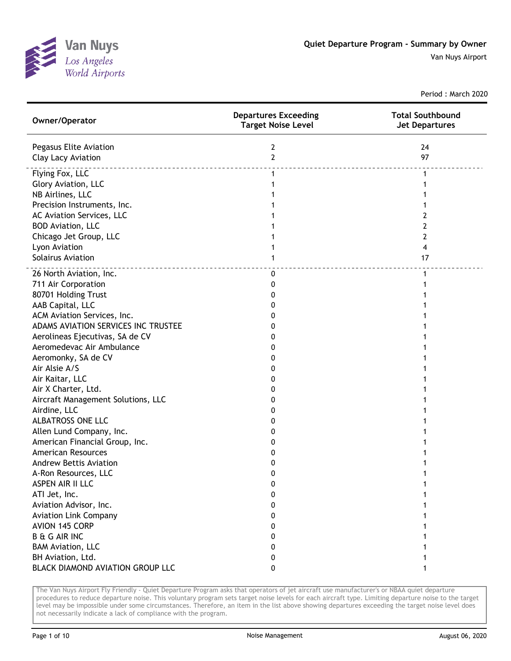

Van Nuys Airport

Period : March 2020

| Owner/Operator                      | <b>Departures Exceeding</b><br><b>Target Noise Level</b> | <b>Total Southbound</b><br><b>Jet Departures</b> |
|-------------------------------------|----------------------------------------------------------|--------------------------------------------------|
| Pegasus Elite Aviation              | 2                                                        | 24                                               |
| Clay Lacy Aviation                  | $\mathbf{2}$                                             | 97                                               |
| Flying Fox, LLC                     | $\mathbf{1}$                                             | 1                                                |
| Glory Aviation, LLC                 |                                                          |                                                  |
| NB Airlines, LLC                    |                                                          |                                                  |
| Precision Instruments, Inc.         |                                                          |                                                  |
| AC Aviation Services, LLC           |                                                          | 2                                                |
| <b>BOD Aviation, LLC</b>            |                                                          | 2                                                |
| Chicago Jet Group, LLC              |                                                          | 2                                                |
| Lyon Aviation                       |                                                          | 4                                                |
| Solairus Aviation                   |                                                          | 17                                               |
| 26 North Aviation, Inc.             | 0                                                        | 1                                                |
| 711 Air Corporation                 | 0                                                        |                                                  |
| 80701 Holding Trust                 | 0                                                        |                                                  |
| AAB Capital, LLC                    | 0                                                        |                                                  |
| ACM Aviation Services, Inc.         | 0                                                        |                                                  |
| ADAMS AVIATION SERVICES INC TRUSTEE | 0                                                        |                                                  |
| Aerolineas Ejecutivas, SA de CV     | 0                                                        |                                                  |
| Aeromedevac Air Ambulance           | 0                                                        |                                                  |
| Aeromonky, SA de CV                 | 0                                                        |                                                  |
| Air Alsie A/S                       | 0                                                        |                                                  |
| Air Kaitar, LLC                     | 0                                                        |                                                  |
| Air X Charter, Ltd.                 | 0                                                        |                                                  |
| Aircraft Management Solutions, LLC  | 0                                                        |                                                  |
| Airdine, LLC                        | 0                                                        |                                                  |
| ALBATROSS ONE LLC                   | 0                                                        |                                                  |
| Allen Lund Company, Inc.            | 0                                                        |                                                  |
| American Financial Group, Inc.      | 0                                                        |                                                  |
| <b>American Resources</b>           | 0                                                        |                                                  |
| <b>Andrew Bettis Aviation</b>       | 0                                                        |                                                  |
| A-Ron Resources, LLC                | 0                                                        |                                                  |
| ASPEN AIR II LLC                    | 0                                                        |                                                  |
| ATI Jet, Inc.                       | 0                                                        |                                                  |
| Aviation Advisor, Inc.              | 0                                                        |                                                  |
| <b>Aviation Link Company</b>        | 0                                                        |                                                  |
| AVION 145 CORP                      | 0                                                        |                                                  |
| <b>B &amp; G AIR INC</b>            | 0                                                        |                                                  |
| <b>BAM Aviation, LLC</b>            | 0                                                        |                                                  |
| BH Aviation, Ltd.                   | 0                                                        |                                                  |
| BLACK DIAMOND AVIATION GROUP LLC    | 0                                                        |                                                  |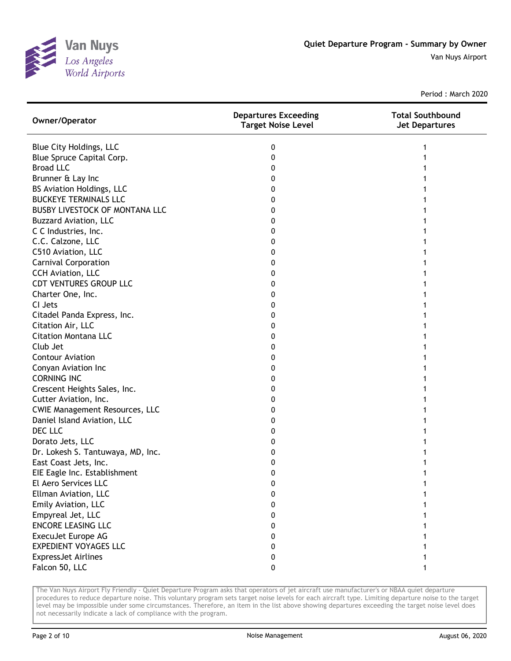

| Owner/Operator                        | <b>Departures Exceeding</b><br><b>Target Noise Level</b> | <b>Total Southbound</b><br><b>Jet Departures</b> |
|---------------------------------------|----------------------------------------------------------|--------------------------------------------------|
| Blue City Holdings, LLC               | 0                                                        |                                                  |
| Blue Spruce Capital Corp.             | 0                                                        |                                                  |
| <b>Broad LLC</b>                      | 0                                                        |                                                  |
| Brunner & Lay Inc                     | 0                                                        |                                                  |
| BS Aviation Holdings, LLC             | 0                                                        |                                                  |
| <b>BUCKEYE TERMINALS LLC</b>          | 0                                                        |                                                  |
| <b>BUSBY LIVESTOCK OF MONTANA LLC</b> | 0                                                        |                                                  |
| <b>Buzzard Aviation, LLC</b>          | 0                                                        |                                                  |
| C C Industries, Inc.                  | 0                                                        |                                                  |
| C.C. Calzone, LLC                     | 0                                                        |                                                  |
| C510 Aviation, LLC                    | 0                                                        |                                                  |
| <b>Carnival Corporation</b>           | 0                                                        |                                                  |
| CCH Aviation, LLC                     | 0                                                        |                                                  |
| <b>CDT VENTURES GROUP LLC</b>         | 0                                                        |                                                  |
| Charter One, Inc.                     | 0                                                        |                                                  |
| CI Jets                               | 0                                                        |                                                  |
| Citadel Panda Express, Inc.           | 0                                                        |                                                  |
| Citation Air, LLC                     | 0                                                        |                                                  |
| <b>Citation Montana LLC</b>           | 0                                                        |                                                  |
| Club Jet                              | 0                                                        |                                                  |
| <b>Contour Aviation</b>               | 0                                                        |                                                  |
| Conyan Aviation Inc                   | 0                                                        |                                                  |
| <b>CORNING INC</b>                    | 0                                                        |                                                  |
| Crescent Heights Sales, Inc.          | 0                                                        |                                                  |
| Cutter Aviation, Inc.                 | 0                                                        |                                                  |
| <b>CWIE Management Resources, LLC</b> | 0                                                        |                                                  |
| Daniel Island Aviation, LLC           | 0                                                        |                                                  |
| DEC LLC                               | O                                                        |                                                  |
| Dorato Jets, LLC                      | 0                                                        |                                                  |
| Dr. Lokesh S. Tantuwaya, MD, Inc.     | 0                                                        |                                                  |
| East Coast Jets, Inc.                 | 0                                                        |                                                  |
| EIE Eagle Inc. Establishment          | 0                                                        |                                                  |
| El Aero Services LLC                  | 0                                                        |                                                  |
| Ellman Aviation, LLC                  | 0                                                        |                                                  |
| Emily Aviation, LLC                   | 0                                                        |                                                  |
| Empyreal Jet, LLC                     | 0                                                        |                                                  |
| <b>ENCORE LEASING LLC</b>             | 0                                                        |                                                  |
| ExecuJet Europe AG                    | 0                                                        |                                                  |
| <b>EXPEDIENT VOYAGES LLC</b>          | 0                                                        |                                                  |
| <b>ExpressJet Airlines</b>            | 0                                                        |                                                  |
| Falcon 50, LLC                        | 0                                                        |                                                  |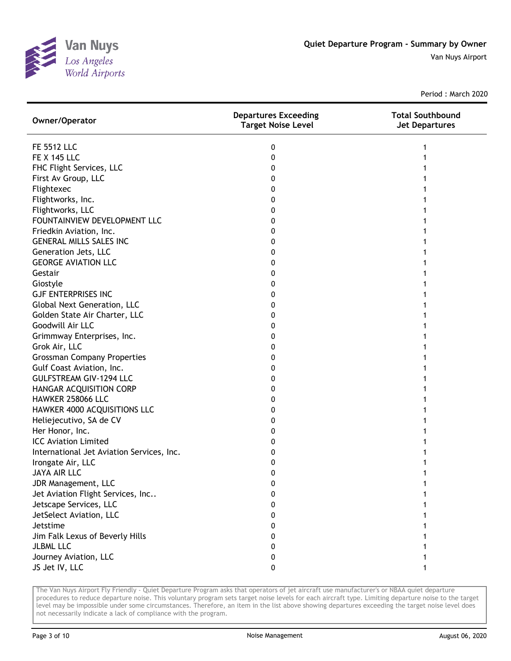

Van Nuys Airport

Period : March 2020

| Owner/Operator                            | <b>Departures Exceeding</b><br><b>Target Noise Level</b> | <b>Total Southbound</b><br><b>Jet Departures</b> |
|-------------------------------------------|----------------------------------------------------------|--------------------------------------------------|
| <b>FE 5512 LLC</b>                        | 0                                                        |                                                  |
| <b>FE X 145 LLC</b>                       | 0                                                        |                                                  |
| FHC Flight Services, LLC                  | 0                                                        |                                                  |
| First Av Group, LLC                       | 0                                                        |                                                  |
| Flightexec                                | 0                                                        |                                                  |
| Flightworks, Inc.                         | 0                                                        |                                                  |
| Flightworks, LLC                          | 0                                                        |                                                  |
| FOUNTAINVIEW DEVELOPMENT LLC              | 0                                                        |                                                  |
| Friedkin Aviation, Inc.                   | 0                                                        |                                                  |
| <b>GENERAL MILLS SALES INC</b>            | 0                                                        |                                                  |
| Generation Jets, LLC                      | 0                                                        |                                                  |
| <b>GEORGE AVIATION LLC</b>                | 0                                                        |                                                  |
| Gestair                                   | 0                                                        |                                                  |
| Giostyle                                  | 0                                                        |                                                  |
| <b>GJF ENTERPRISES INC</b>                | 0                                                        |                                                  |
| Global Next Generation, LLC               | 0                                                        |                                                  |
| Golden State Air Charter, LLC             | 0                                                        |                                                  |
| Goodwill Air LLC                          | 0                                                        |                                                  |
| Grimmway Enterprises, Inc.                | 0                                                        |                                                  |
| Grok Air, LLC                             | 0                                                        |                                                  |
| <b>Grossman Company Properties</b>        | 0                                                        |                                                  |
| Gulf Coast Aviation, Inc.                 | 0                                                        |                                                  |
| <b>GULFSTREAM GIV-1294 LLC</b>            | 0                                                        |                                                  |
| HANGAR ACQUISITION CORP                   | 0                                                        |                                                  |
| HAWKER 258066 LLC                         | 0                                                        |                                                  |
| HAWKER 4000 ACQUISITIONS LLC              | 0                                                        |                                                  |
| Heliejecutivo, SA de CV                   | 0                                                        |                                                  |
| Her Honor, Inc.                           | 0                                                        |                                                  |
| <b>ICC Aviation Limited</b>               | 0                                                        |                                                  |
| International Jet Aviation Services, Inc. | 0                                                        |                                                  |
| Irongate Air, LLC                         | 0                                                        |                                                  |
| <b>JAYA AIR LLC</b>                       | 0                                                        |                                                  |
| JDR Management, LLC                       | 0                                                        |                                                  |
| Jet Aviation Flight Services, Inc         | 0                                                        |                                                  |
| Jetscape Services, LLC                    | 0                                                        |                                                  |
| JetSelect Aviation, LLC                   | 0                                                        |                                                  |
| Jetstime                                  | 0                                                        |                                                  |
| Jim Falk Lexus of Beverly Hills           | 0                                                        |                                                  |
| <b>JLBML LLC</b>                          | 0                                                        |                                                  |
| Journey Aviation, LLC                     | 0                                                        |                                                  |
| JS Jet IV, LLC                            | 0                                                        |                                                  |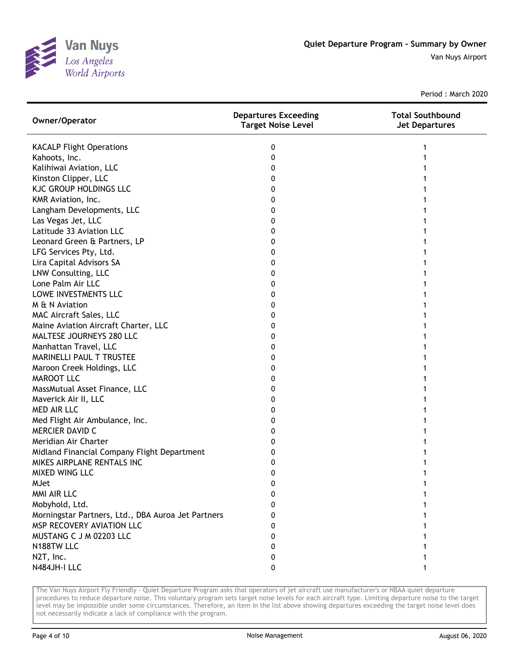

| Owner/Operator                                     | <b>Departures Exceeding</b><br><b>Target Noise Level</b> | <b>Total Southbound</b><br><b>Jet Departures</b> |
|----------------------------------------------------|----------------------------------------------------------|--------------------------------------------------|
| <b>KACALP Flight Operations</b>                    | 0                                                        |                                                  |
| Kahoots, Inc.                                      | 0                                                        |                                                  |
| Kalihiwai Aviation, LLC                            | 0                                                        |                                                  |
| Kinston Clipper, LLC                               | 0                                                        |                                                  |
| <b>KJC GROUP HOLDINGS LLC</b>                      | 0                                                        |                                                  |
| KMR Aviation, Inc.                                 | 0                                                        |                                                  |
| Langham Developments, LLC                          | 0                                                        |                                                  |
| Las Vegas Jet, LLC                                 | 0                                                        |                                                  |
| Latitude 33 Aviation LLC                           | 0                                                        |                                                  |
| Leonard Green & Partners, LP                       | 0                                                        |                                                  |
| LFG Services Pty, Ltd.                             | 0                                                        |                                                  |
| Lira Capital Advisors SA                           | 0                                                        |                                                  |
| LNW Consulting, LLC                                | 0                                                        |                                                  |
| Lone Palm Air LLC                                  | 0                                                        |                                                  |
| LOWE INVESTMENTS LLC                               | 0                                                        |                                                  |
| M & N Aviation                                     | 0                                                        |                                                  |
| MAC Aircraft Sales, LLC                            | 0                                                        |                                                  |
| Maine Aviation Aircraft Charter, LLC               | 0                                                        |                                                  |
| MALTESE JOURNEYS 280 LLC                           | 0                                                        |                                                  |
| Manhattan Travel, LLC                              | 0                                                        |                                                  |
| <b>MARINELLI PAUL T TRUSTEE</b>                    | 0                                                        |                                                  |
| Maroon Creek Holdings, LLC                         | 0                                                        |                                                  |
| <b>MAROOT LLC</b>                                  | 0                                                        |                                                  |
| MassMutual Asset Finance, LLC                      | 0                                                        |                                                  |
| Maverick Air II, LLC                               | 0                                                        |                                                  |
| MED AIR LLC                                        | 0                                                        |                                                  |
| Med Flight Air Ambulance, Inc.                     | 0                                                        |                                                  |
| MERCIER DAVID C                                    | O                                                        |                                                  |
| Meridian Air Charter                               | O                                                        |                                                  |
| Midland Financial Company Flight Department        | O                                                        |                                                  |
| MIKES AIRPLANE RENTALS INC                         | 0                                                        |                                                  |
| MIXED WING LLC                                     | 0                                                        |                                                  |
| <b>MJet</b>                                        | 0                                                        | 1                                                |
| MMI AIR LLC                                        | 0                                                        |                                                  |
| Mobyhold, Ltd.                                     | 0                                                        |                                                  |
| Morningstar Partners, Ltd., DBA Auroa Jet Partners | 0                                                        |                                                  |
| MSP RECOVERY AVIATION LLC                          | 0                                                        |                                                  |
| MUSTANG C J M 02203 LLC                            | O                                                        |                                                  |
| N188TW LLC                                         | 0                                                        |                                                  |
| N2T, Inc.                                          | 0                                                        |                                                  |
| N484JH-I LLC                                       | 0                                                        |                                                  |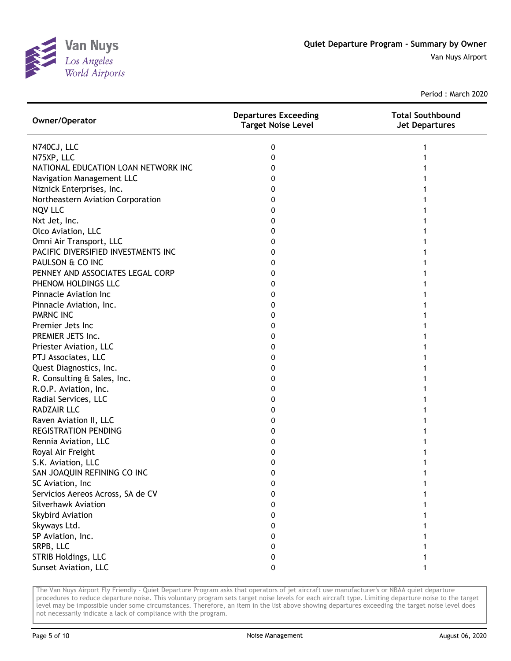

| Owner/Operator                      | <b>Departures Exceeding</b><br><b>Target Noise Level</b> | <b>Total Southbound</b><br><b>Jet Departures</b> |
|-------------------------------------|----------------------------------------------------------|--------------------------------------------------|
| N740CJ, LLC                         | 0                                                        | 1                                                |
| N75XP, LLC                          | 0                                                        |                                                  |
| NATIONAL EDUCATION LOAN NETWORK INC | 0                                                        |                                                  |
| Navigation Management LLC           | 0                                                        |                                                  |
| Niznick Enterprises, Inc.           | 0                                                        |                                                  |
| Northeastern Aviation Corporation   | 0                                                        |                                                  |
| <b>NQV LLC</b>                      | 0                                                        |                                                  |
| Nxt Jet, Inc.                       | 0                                                        |                                                  |
| Olco Aviation, LLC                  | 0                                                        |                                                  |
| Omni Air Transport, LLC             | 0                                                        |                                                  |
| PACIFIC DIVERSIFIED INVESTMENTS INC | 0                                                        |                                                  |
| PAULSON & CO INC                    | 0                                                        |                                                  |
| PENNEY AND ASSOCIATES LEGAL CORP    | 0                                                        |                                                  |
| PHENOM HOLDINGS LLC                 | 0                                                        |                                                  |
| Pinnacle Aviation Inc               | 0                                                        |                                                  |
| Pinnacle Aviation, Inc.             | 0                                                        |                                                  |
| <b>PMRNC INC</b>                    | 0                                                        |                                                  |
| Premier Jets Inc                    | 0                                                        |                                                  |
| PREMIER JETS Inc.                   | 0                                                        |                                                  |
| Priester Aviation, LLC              | 0                                                        |                                                  |
| PTJ Associates, LLC                 | 0                                                        |                                                  |
| Quest Diagnostics, Inc.             | 0                                                        |                                                  |
| R. Consulting & Sales, Inc.         | 0                                                        |                                                  |
| R.O.P. Aviation, Inc.               | 0                                                        |                                                  |
| Radial Services, LLC                | 0                                                        |                                                  |
| <b>RADZAIR LLC</b>                  | 0                                                        |                                                  |
| Raven Aviation II, LLC              | 0                                                        |                                                  |
| <b>REGISTRATION PENDING</b>         | 0                                                        |                                                  |
| Rennia Aviation, LLC                | 0                                                        |                                                  |
| Royal Air Freight                   | 0                                                        |                                                  |
| S.K. Aviation, LLC                  | 0                                                        |                                                  |
| SAN JOAQUIN REFINING CO INC         | 0                                                        |                                                  |
| SC Aviation, Inc                    | 0                                                        |                                                  |
| Servicios Aereos Across, SA de CV   | 0                                                        |                                                  |
| Silverhawk Aviation                 | o                                                        |                                                  |
| <b>Skybird Aviation</b>             | 0                                                        |                                                  |
| Skyways Ltd.                        | 0                                                        |                                                  |
| SP Aviation, Inc.                   | 0                                                        |                                                  |
| SRPB, LLC                           | 0                                                        |                                                  |
| STRIB Holdings, LLC                 | 0                                                        |                                                  |
| Sunset Aviation, LLC                | 0                                                        |                                                  |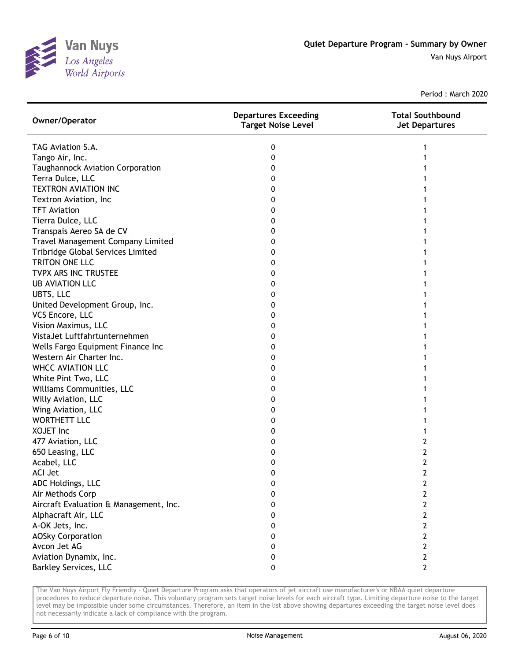

Van Nuys Airport

Period : March 2020

| Owner/Operator                         | <b>Departures Exceeding</b><br><b>Target Noise Level</b> | <b>Total Southbound</b><br><b>Jet Departures</b> |
|----------------------------------------|----------------------------------------------------------|--------------------------------------------------|
| TAG Aviation S.A.                      | 0                                                        |                                                  |
| Tango Air, Inc.                        | 0                                                        |                                                  |
| Taughannock Aviation Corporation       | 0                                                        |                                                  |
| Terra Dulce, LLC                       | 0                                                        |                                                  |
| <b>TEXTRON AVIATION INC</b>            | 0                                                        |                                                  |
| Textron Aviation, Inc                  | 0                                                        |                                                  |
| <b>TFT Aviation</b>                    | 0                                                        |                                                  |
| Tierra Dulce, LLC                      | 0                                                        |                                                  |
| Transpais Aereo SA de CV               | 0                                                        |                                                  |
| Travel Management Company Limited      | 0                                                        |                                                  |
| Tribridge Global Services Limited      | 0                                                        |                                                  |
| TRITON ONE LLC                         | 0                                                        |                                                  |
| TVPX ARS INC TRUSTEE                   | 0                                                        |                                                  |
| <b>UB AVIATION LLC</b>                 | 0                                                        |                                                  |
| UBTS, LLC                              | 0                                                        |                                                  |
| United Development Group, Inc.         | 0                                                        |                                                  |
| VCS Encore, LLC                        | 0                                                        |                                                  |
| Vision Maximus, LLC                    | 0                                                        |                                                  |
| VistaJet Luftfahrtunternehmen          | 0                                                        |                                                  |
| Wells Fargo Equipment Finance Inc      | 0                                                        |                                                  |
| Western Air Charter Inc.               | 0                                                        |                                                  |
| <b>WHCC AVIATION LLC</b>               | 0                                                        |                                                  |
| White Pint Two, LLC                    | 0                                                        |                                                  |
| Williams Communities, LLC              | 0                                                        |                                                  |
| Willy Aviation, LLC                    | 0                                                        |                                                  |
| Wing Aviation, LLC                     | 0                                                        |                                                  |
| <b>WORTHETT LLC</b>                    | 0                                                        |                                                  |
| <b>XOJET Inc</b>                       | 0                                                        |                                                  |
| 477 Aviation, LLC                      | 0                                                        | 2                                                |
| 650 Leasing, LLC                       | 0                                                        | 2                                                |
| Acabel, LLC                            | 0                                                        | 2                                                |
| <b>ACI Jet</b>                         | 0                                                        | $\overline{2}$                                   |
| ADC Holdings, LLC                      | 0                                                        | 2                                                |
| Air Methods Corp                       | 0                                                        | 2                                                |
| Aircraft Evaluation & Management, Inc. | 0                                                        | 2                                                |
| Alphacraft Air, LLC                    | 0                                                        | 2                                                |
| A-OK Jets, Inc.                        | 0                                                        | 2                                                |
| <b>AOSky Corporation</b>               | 0                                                        | 2                                                |
| Avcon Jet AG                           | 0                                                        | 2                                                |
| Aviation Dynamix, Inc.                 | 0                                                        | 2                                                |
| <b>Barkley Services, LLC</b>           | 0                                                        | 2                                                |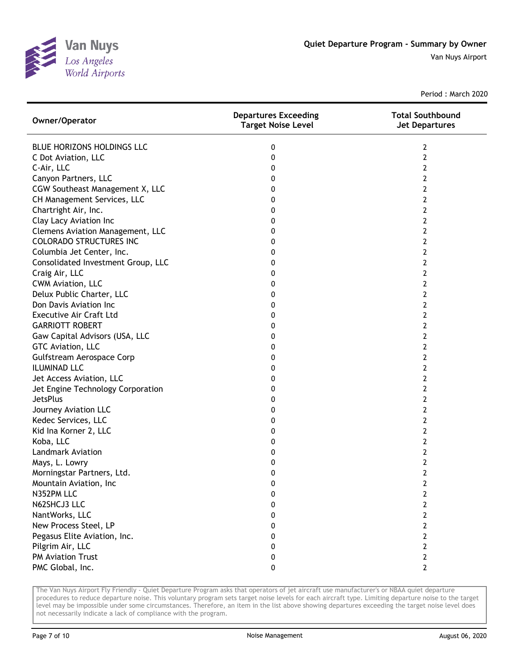

| Owner/Operator                     | <b>Departures Exceeding</b><br><b>Target Noise Level</b> | <b>Total Southbound</b><br><b>Jet Departures</b> |
|------------------------------------|----------------------------------------------------------|--------------------------------------------------|
| BLUE HORIZONS HOLDINGS LLC         | 0                                                        | 2                                                |
| C Dot Aviation, LLC                | 0                                                        | 2                                                |
| C-Air, LLC                         | 0                                                        | 2                                                |
| Canyon Partners, LLC               | 0                                                        | 2                                                |
| CGW Southeast Management X, LLC    | 0                                                        | 2                                                |
| CH Management Services, LLC        | 0                                                        | 2                                                |
| Chartright Air, Inc.               | 0                                                        | 2                                                |
| Clay Lacy Aviation Inc             | 0                                                        | 2                                                |
| Clemens Aviation Management, LLC   | 0                                                        | 2                                                |
| <b>COLORADO STRUCTURES INC</b>     | 0                                                        | 2                                                |
| Columbia Jet Center, Inc.          | 0                                                        | $\overline{2}$                                   |
| Consolidated Investment Group, LLC | 0                                                        | 2                                                |
| Craig Air, LLC                     | 0                                                        | 2                                                |
| CWM Aviation, LLC                  | 0                                                        | 2                                                |
| Delux Public Charter, LLC          | 0                                                        | 2                                                |
| Don Davis Aviation Inc             | 0                                                        | 2                                                |
| <b>Executive Air Craft Ltd</b>     | 0                                                        | 2                                                |
| <b>GARRIOTT ROBERT</b>             | 0                                                        | 2                                                |
| Gaw Capital Advisors (USA, LLC     | 0                                                        | 2                                                |
| GTC Aviation, LLC                  | 0                                                        | 2                                                |
| Gulfstream Aerospace Corp          | 0                                                        | 2                                                |
| <b>ILUMINAD LLC</b>                | 0                                                        | 2                                                |
| Jet Access Aviation, LLC           | 0                                                        | $\overline{2}$                                   |
| Jet Engine Technology Corporation  | 0                                                        | 2                                                |
| <b>JetsPlus</b>                    | 0                                                        | 2                                                |
| Journey Aviation LLC               | 0                                                        | 2                                                |
| Kedec Services, LLC                | 0                                                        | 2                                                |
| Kid Ina Korner 2, LLC              | 0                                                        | 2                                                |
| Koba, LLC                          | 0                                                        | 2                                                |
| <b>Landmark Aviation</b>           | 0                                                        | 2                                                |
| Mays, L. Lowry                     | 0                                                        | 2                                                |
| Morningstar Partners, Ltd.         | 0                                                        | $\overline{2}$                                   |
| Mountain Aviation, Inc             | 0                                                        | $\overline{2}$                                   |
| N352PM LLC                         | 0                                                        | $\mathbf{2}$                                     |
| N62SHCJ3 LLC                       | 0                                                        | $\overline{2}$                                   |
| NantWorks, LLC                     | 0                                                        | 2                                                |
| New Process Steel, LP              | 0                                                        | 2                                                |
| Pegasus Elite Aviation, Inc.       | 0                                                        | $\overline{2}$                                   |
| Pilgrim Air, LLC                   | 0                                                        | 2                                                |
| PM Aviation Trust                  | 0                                                        | $\overline{2}$                                   |
| PMC Global, Inc.                   | 0                                                        | $\overline{2}$                                   |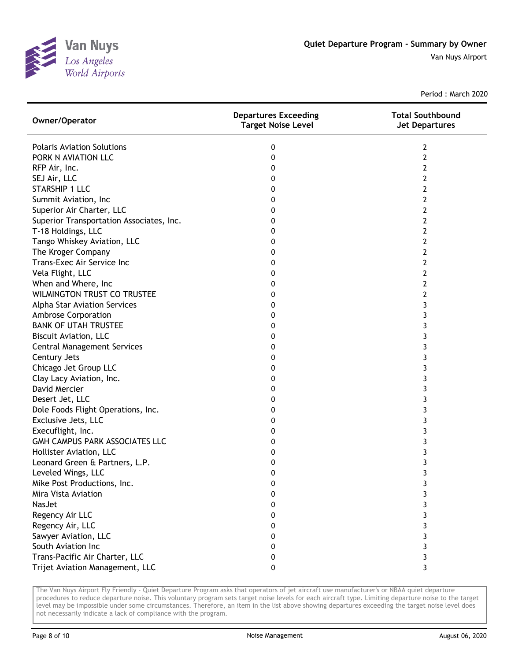

| Owner/Operator                           | <b>Departures Exceeding</b><br><b>Target Noise Level</b> | <b>Total Southbound</b><br><b>Jet Departures</b> |
|------------------------------------------|----------------------------------------------------------|--------------------------------------------------|
| <b>Polaris Aviation Solutions</b>        | 0                                                        | 2                                                |
| PORK N AVIATION LLC                      | 0                                                        | $\overline{2}$                                   |
| RFP Air, Inc.                            | 0                                                        | 2                                                |
| SEJ Air, LLC                             | 0                                                        | 2                                                |
| <b>STARSHIP 1 LLC</b>                    | 0                                                        | $\overline{2}$                                   |
| Summit Aviation, Inc                     | 0                                                        | 2                                                |
| Superior Air Charter, LLC                | 0                                                        | 2                                                |
| Superior Transportation Associates, Inc. | 0                                                        | 2                                                |
| T-18 Holdings, LLC                       | 0                                                        | 2                                                |
| Tango Whiskey Aviation, LLC              | 0                                                        | $\overline{2}$                                   |
| The Kroger Company                       | 0                                                        | 2                                                |
| Trans-Exec Air Service Inc               | 0                                                        | 2                                                |
| Vela Flight, LLC                         | 0                                                        | 2                                                |
| When and Where, Inc                      | 0                                                        | 2                                                |
| <b>WILMINGTON TRUST CO TRUSTEE</b>       | 0                                                        | 2                                                |
| Alpha Star Aviation Services             | 0                                                        | 3                                                |
| <b>Ambrose Corporation</b>               | 0                                                        | 3                                                |
| <b>BANK OF UTAH TRUSTEE</b>              | 0                                                        | 3                                                |
| <b>Biscuit Aviation, LLC</b>             | 0                                                        | 3                                                |
| <b>Central Management Services</b>       | 0                                                        | 3                                                |
| Century Jets                             | 0                                                        | 3                                                |
| Chicago Jet Group LLC                    | 0                                                        | 3                                                |
| Clay Lacy Aviation, Inc.                 | 0                                                        | 3                                                |
| David Mercier                            | 0                                                        | 3                                                |
| Desert Jet, LLC                          | 0                                                        | 3                                                |
| Dole Foods Flight Operations, Inc.       | 0                                                        | 3                                                |
| Exclusive Jets, LLC                      | 0                                                        | 3                                                |
| Execuflight, Inc.                        | 0                                                        | 3                                                |
| GMH CAMPUS PARK ASSOCIATES LLC           | 0                                                        | 3                                                |
| Hollister Aviation, LLC                  | 0                                                        | 3                                                |
| Leonard Green & Partners, L.P.           | 0                                                        | 3                                                |
| Leveled Wings, LLC                       | 0                                                        | 3                                                |
| Mike Post Productions, Inc.              | 0                                                        | 3                                                |
| Mira Vista Aviation                      | 0                                                        | 3                                                |
| NasJet                                   | 0                                                        | 3                                                |
| Regency Air LLC                          | 0                                                        | 3                                                |
| Regency Air, LLC                         | 0                                                        | 3                                                |
| Sawyer Aviation, LLC                     | 0                                                        | 3                                                |
| South Aviation Inc                       | 0                                                        | 3                                                |
| Trans-Pacific Air Charter, LLC           | 0                                                        | 3                                                |
| Trijet Aviation Management, LLC          | 0                                                        | 3                                                |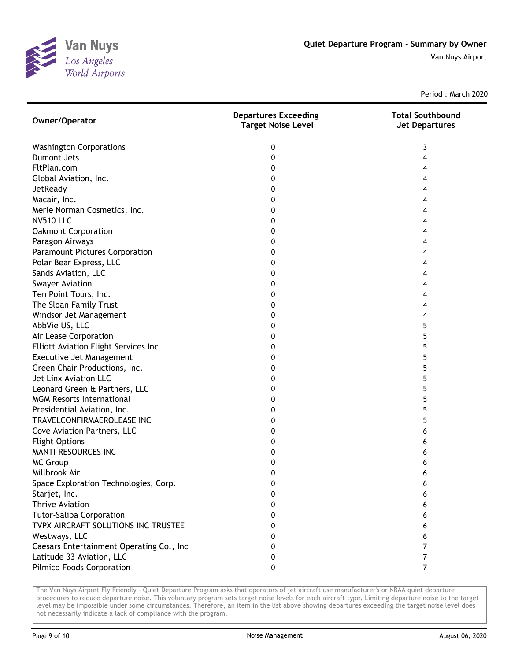

| Owner/Operator                              | <b>Departures Exceeding</b><br><b>Target Noise Level</b> | <b>Total Southbound</b><br><b>Jet Departures</b> |
|---------------------------------------------|----------------------------------------------------------|--------------------------------------------------|
| <b>Washington Corporations</b>              | 0                                                        | 3                                                |
| <b>Dumont Jets</b>                          | 0                                                        | 4                                                |
| FltPlan.com                                 | 0                                                        | 4                                                |
| Global Aviation, Inc.                       | 0                                                        | 4                                                |
| JetReady                                    | 0                                                        | 4                                                |
| Macair, Inc.                                | 0                                                        | 4                                                |
| Merle Norman Cosmetics, Inc.                | 0                                                        | 4                                                |
| <b>NV510 LLC</b>                            | 0                                                        | 4                                                |
| <b>Oakmont Corporation</b>                  | 0                                                        | 4                                                |
| Paragon Airways                             | 0                                                        | 4                                                |
| Paramount Pictures Corporation              | 0                                                        | 4                                                |
| Polar Bear Express, LLC                     | 0                                                        | 4                                                |
| Sands Aviation, LLC                         | 0                                                        | 4                                                |
| <b>Swayer Aviation</b>                      | 0                                                        | 4                                                |
| Ten Point Tours, Inc.                       | 0                                                        | 4                                                |
| The Sloan Family Trust                      | 0                                                        | 4                                                |
| Windsor Jet Management                      | 0                                                        | 4                                                |
| AbbVie US, LLC                              | 0                                                        | 5                                                |
| Air Lease Corporation                       | 0                                                        | 5                                                |
| <b>Elliott Aviation Flight Services Inc</b> | 0                                                        | 5                                                |
| Executive Jet Management                    | 0                                                        | 5                                                |
| Green Chair Productions, Inc.               | 0                                                        | 5                                                |
| Jet Linx Aviation LLC                       | 0                                                        | 5                                                |
| Leonard Green & Partners, LLC               | 0                                                        | 5                                                |
| <b>MGM Resorts International</b>            | 0                                                        | 5                                                |
| Presidential Aviation, Inc.                 | 0                                                        | 5                                                |
| TRAVELCONFIRMAEROLEASE INC                  | 0                                                        | 5                                                |
| Cove Aviation Partners, LLC                 | 0                                                        | 6                                                |
| <b>Flight Options</b>                       | 0                                                        | 6                                                |
| <b>MANTI RESOURCES INC</b>                  | 0                                                        |                                                  |
| <b>MC Group</b>                             | 0                                                        | 6                                                |
| Millbrook Air                               | 0                                                        | 6                                                |
| Space Exploration Technologies, Corp.       | 0                                                        | 6                                                |
| Starjet, Inc.                               | 0                                                        | 6                                                |
| Thrive Aviation                             | 0                                                        | 6                                                |
| <b>Tutor-Saliba Corporation</b>             | 0                                                        | 6                                                |
| TVPX AIRCRAFT SOLUTIONS INC TRUSTEE         | 0                                                        | 6                                                |
| Westways, LLC                               | 0                                                        | 6                                                |
| Caesars Entertainment Operating Co., Inc    | 0                                                        | 7                                                |
| Latitude 33 Aviation, LLC                   | 0                                                        | 7                                                |
| Pilmico Foods Corporation                   | 0                                                        | $\overline{7}$                                   |